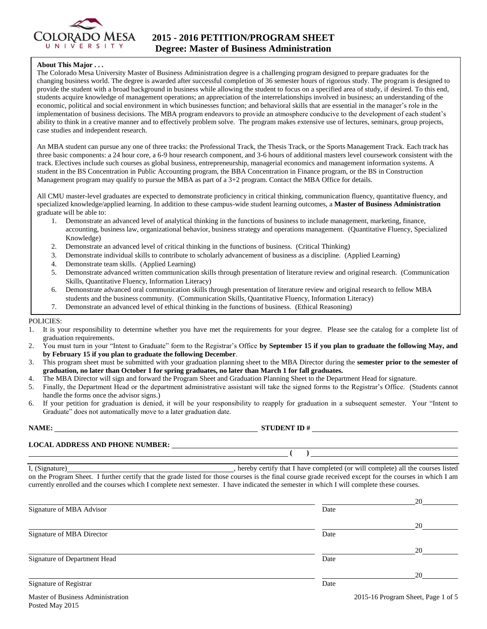

#### **About This Major . . .**

The Colorado Mesa University Master of Business Administration degree is a challenging program designed to prepare graduates for the changing business world. The degree is awarded after successful completion of 36 semester hours of rigorous study. The program is designed to provide the student with a broad background in business while allowing the student to focus on a specified area of study, if desired. To this end, students acquire knowledge of management operations; an appreciation of the interrelationships involved in business; an understanding of the economic, political and social environment in which businesses function; and behavioral skills that are essential in the manager's role in the implementation of business decisions. The MBA program endeavors to provide an atmosphere conducive to the development of each student's ability to think in a creative manner and to effectively problem solve. The program makes extensive use of lectures, seminars, group projects, case studies and independent research.

An MBA student can pursue any one of three tracks: the Professional Track, the Thesis Track, or the Sports Management Track. Each track has three basic components: a 24 hour core, a 6-9 hour research component, and 3-6 hours of additional masters level coursework consistent with the track. Electives include such courses as global business, entrepreneurship, managerial economics and management information systems. A student in the BS Concentration in Public Accounting program, the BBA Concentration in Finance program, or the BS in Construction Management program may qualify to pursue the MBA as part of a 3+2 program. Contact the MBA Office for details.

All CMU master-level graduates are expected to demonstrate proficiency in critical thinking, communication fluency, quantitative fluency, and specialized knowledge/applied learning. In addition to these campus-wide student learning outcomes, a **Master of Business Administration** graduate will be able to:

- 1. Demonstrate an advanced level of analytical thinking in the functions of business to include management, marketing, finance, accounting, business law, organizational behavior, business strategy and operations management. (Quantitative Fluency, Specialized Knowledge)
- 2. Demonstrate an advanced level of critical thinking in the functions of business. (Critical Thinking)
- 3. Demonstrate individual skills to contribute to scholarly advancement of business as a discipline. (Applied Learning)
- Demonstrate team skills. (Applied Learning)
- 5. Demonstrate advanced written communication skills through presentation of literature review and original research. (Communication Skills, Quantitative Fluency, Information Literacy)
- 6. Demonstrate advanced oral communication skills through presentation of literature review and original research to fellow MBA students and the business community. (Communication Skills, Quantitative Fluency, Information Literacy)
- 7. Demonstrate an advanced level of ethical thinking in the functions of business. (Ethical Reasoning)

#### POLICIES:

- 1. It is your responsibility to determine whether you have met the requirements for your degree. Please see the catalog for a complete list of graduation requirements.
- 2. You must turn in your "Intent to Graduate" form to the Registrar's Office **by September 15 if you plan to graduate the following May, and by February 15 if you plan to graduate the following December**.
- 3. This program sheet must be submitted with your graduation planning sheet to the MBA Director during the **semester prior to the semester of graduation, no later than October 1 for spring graduates, no later than March 1 for fall graduates.**
- 4. The MBA Director will sign and forward the Program Sheet and Graduation Planning Sheet to the Department Head for signature.
- 5. Finally, the Department Head or the department administrative assistant will take the signed forms to the Registrar's Office. (Students cannot handle the forms once the advisor signs.)
- 6. If your petition for graduation is denied, it will be your responsibility to reapply for graduation in a subsequent semester. Your "Intent to Graduate" does not automatically move to a later graduation date.

Posted May 2015

#### **NAME: STUDENT ID #**

 $($   $)$ 

**LOCAL ADDRESS AND PHONE NUMBER:**

I, (Signature) , hereby certify that I have completed (or will complete) all the courses listed on the Program Sheet. I further certify that the grade listed for those courses is the final course grade received except for the courses in which I am currently enrolled and the courses which I complete next semester. I have indicated the semester in which I will complete these courses.

|                                   |      | 20                                 |
|-----------------------------------|------|------------------------------------|
| Signature of MBA Advisor          | Date |                                    |
|                                   |      | 20                                 |
| Signature of MBA Director         | Date |                                    |
|                                   |      | 20                                 |
| Signature of Department Head      | Date |                                    |
|                                   |      | 20                                 |
| Signature of Registrar            | Date |                                    |
| Master of Business Administration |      | 2015-16 Program Sheet, Page 1 of 5 |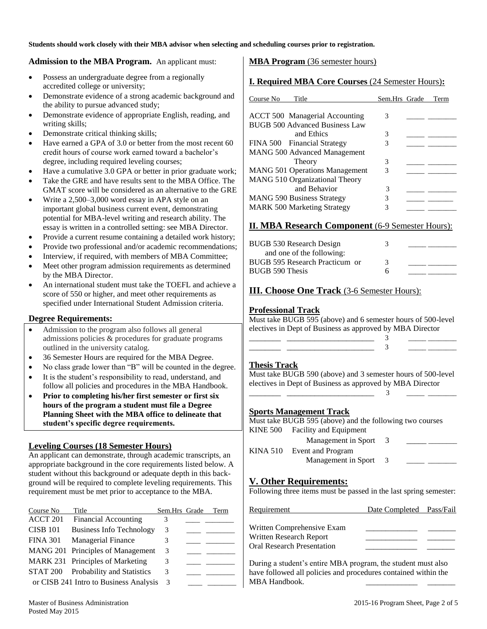**Students should work closely with their MBA advisor when selecting and scheduling courses prior to registration.** 

### **Admission to the MBA Program.** An applicant must:

- Possess an undergraduate degree from a regionally accredited college or university;
- Demonstrate evidence of a strong academic background and the ability to pursue advanced study;
- Demonstrate evidence of appropriate English, reading, and writing skills;
- Demonstrate critical thinking skills;
- Have earned a GPA of 3.0 or better from the most recent 60 credit hours of course work earned toward a bachelor's degree, including required leveling courses;
- Have a cumulative 3.0 GPA or better in prior graduate work;
- Take the GRE and have results sent to the MBA Office. The GMAT score will be considered as an alternative to the GRE
- Write a 2,500–3,000 word essay in APA style on an important global business current event, demonstrating potential for MBA-level writing and research ability. The essay is written in a controlled setting: see MBA Director.
- Provide a current resume containing a detailed work history;
- Provide two professional and/or academic recommendations;
- Interview, if required, with members of MBA Committee;
- Meet other program admission requirements as determined by the MBA Director.
- An international student must take the TOEFL and achieve a score of 550 or higher, and meet other requirements as specified under International Student Admission criteria.

#### **Degree Requirements:**

- Admission to the program also follows all general admissions policies & procedures for graduate programs outlined in the university catalog.
- 36 Semester Hours are required for the MBA Degree.
- No class grade lower than "B" will be counted in the degree.
- It is the student's responsibility to read, understand, and follow all policies and procedures in the MBA Handbook.
- **Prior to completing his/her first semester or first six hours of the program a student must file a Degree Planning Sheet with the MBA office to delineate that student's specific degree requirements.**

#### **Leveling Courses (18 Semester Hours)**

An applicant can demonstrate, through academic transcripts, an appropriate background in the core requirements listed below. A student without this background or adequate depth in this background will be required to complete leveling requirements. This requirement must be met prior to acceptance to the MBA.

| Course No       | Title                                  | Sem.Hrs Grade | Term |
|-----------------|----------------------------------------|---------------|------|
| ACCT 201        | <b>Financial Accounting</b>            | 3             |      |
| <b>CISB 101</b> | <b>Business Info Technology</b>        | 3             |      |
| <b>FINA 301</b> | <b>Managerial Finance</b>              | 3             |      |
|                 | MANG 201 Principles of Management      | 3             |      |
|                 | MARK 231 Principles of Marketing       | 3             |      |
|                 | STAT 200 Probability and Statistics    | 3             |      |
|                 | or CISB 241 Intro to Business Analysis | 3             |      |

## **MBA Program** (36 semester hours)

### **I. Required MBA Core Courses** (24 Semester Hours)**:**

| Title<br>Course No                    | Sem.Hrs Grade | Term |
|---------------------------------------|---------------|------|
| <b>ACCT 500 Managerial Accounting</b> | 3             |      |
| BUGB 500 Advanced Business Law        |               |      |
| and Ethics                            | 3             |      |
| FINA 500 Financial Strategy           | 3             |      |
| <b>MANG 500 Advanced Management</b>   |               |      |
| Theory                                | 3             |      |
| <b>MANG 501 Operations Management</b> | 3             |      |
| MANG 510 Organizational Theory        |               |      |
| and Behavior                          | 3             |      |
| <b>MANG 590 Business Strategy</b>     | 3             |      |
| <b>MARK 500 Marketing Strategy</b>    | 3             |      |

### **II. MBA Research Component** (6-9 Semester Hours):

| <b>BUGB 530 Research Design</b> | 3 |  |
|---------------------------------|---|--|
| and one of the following:       |   |  |
| BUGB 595 Research Practicum or  | 3 |  |
| BUGB 590 Thesis                 | h |  |

### **III. Choose One Track** (3-6 Semester Hours):

### **Professional Track**

Must take BUGB 595 (above) and 6 semester hours of 500-level electives in Dept of Business as approved by MBA Director

| ___ |  |
|-----|--|

#### **Thesis Track**

Must take BUGB 590 (above) and 3 semester hours of 500-level electives in Dept of Business as approved by MBA Director \_\_\_\_\_\_\_\_ \_\_\_\_\_\_\_\_\_\_\_\_\_\_\_\_\_\_\_\_\_\_ 3 \_\_\_\_\_ \_\_\_\_\_\_\_\_

#### **Sports Management Track**

Must take BUGB 595 (above) and the following two courses KINE 500 Facility and Equipment

| Management in Sport        |  |
|----------------------------|--|
| KINA 510 Event and Program |  |
| Management in Sport        |  |

## **V. Other Requirements:**

Following three items must be passed in the last spring semester:

| Requirement                                           | Date Completed Pass/Fail |  |
|-------------------------------------------------------|--------------------------|--|
| Written Comprehensive Exam<br>Written Research Report |                          |  |
| <b>Oral Research Presentation</b>                     |                          |  |

During a student's entire MBA program, the student must also have followed all policies and procedures contained within the MBA Handbook.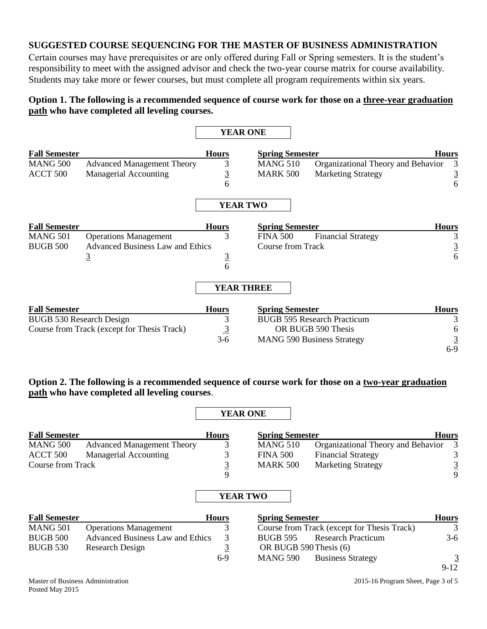# **SUGGESTED COURSE SEQUENCING FOR THE MASTER OF BUSINESS ADMINISTRATION**

Certain courses may have prerequisites or are only offered during Fall or Spring semesters. It is the student's responsibility to meet with the assigned advisor and check the two-year course matrix for course availability. Students may take more or fewer courses, but must complete all program requirements within six years.

# **Option 1. The following is a recommended sequence of course work for those on a three-year graduation path who have completed all leveling courses.**

|                          |                                             |                 | <b>YEAR ONE</b>          |                                    |                |
|--------------------------|---------------------------------------------|-----------------|--------------------------|------------------------------------|----------------|
| <b>Fall Semester</b>     |                                             | <b>Hours</b>    | <b>Spring Semester</b>   |                                    | <b>Hours</b>   |
| <b>MANG 500</b>          | <b>Advanced Management Theory</b>           | 3               | <b>MANG 510</b>          | Organizational Theory and Behavior |                |
| ACCT 500                 | Managerial Accounting                       |                 | <b>MARK 500</b>          | <b>Marketing Strategy</b>          | $\overline{3}$ |
|                          |                                             | $\frac{3}{6}$   |                          |                                    | 6              |
|                          |                                             |                 | <b>YEAR TWO</b>          |                                    |                |
| <b>Fall Semester</b>     |                                             | <b>Hours</b>    | <b>Spring Semester</b>   |                                    | <b>Hours</b>   |
| <b>MANG 501</b>          | <b>Operations Management</b>                | 3               | <b>FINA 500</b>          | <b>Financial Strategy</b>          |                |
| <b>BUGB 500</b>          | <b>Advanced Business Law and Ethics</b>     |                 | <b>Course from Track</b> |                                    |                |
|                          | $\overline{3}$                              |                 |                          |                                    | $\frac{3}{6}$  |
|                          |                                             | $rac{3}{6}$     |                          |                                    |                |
|                          |                                             |                 | <b>YEAR THREE</b>        |                                    |                |
| <b>Fall Semester</b>     |                                             | <b>Hours</b>    | <b>Spring Semester</b>   |                                    | <b>Hours</b>   |
| BUGB 530 Research Design |                                             | 3               |                          | <b>BUGB 595 Research Practicum</b> |                |
|                          | Course from Track (except for Thesis Track) |                 |                          | OR BUGB 590 Thesis                 |                |
|                          |                                             | $\frac{3}{3-6}$ |                          | <b>MANG 590 Business Strategy</b>  |                |
|                          |                                             |                 |                          |                                    | $6-9$          |

# **Option 2. The following is a recommended sequence of course work for those on a two-year graduation path who have completed all leveling courses**.

|                      |                                         |                | <b>YEAR ONE</b>        |                                             |                |
|----------------------|-----------------------------------------|----------------|------------------------|---------------------------------------------|----------------|
| <b>Fall Semester</b> |                                         | <b>Hours</b>   | <b>Spring Semester</b> |                                             | <b>Hours</b>   |
| <b>MANG 500</b>      | <b>Advanced Management Theory</b>       | 3              | <b>MANG 510</b>        | Organizational Theory and Behavior          | 3              |
| ACCT 500             | <b>Managerial Accounting</b>            | 3              | <b>FINA 500</b>        | <b>Financial Strategy</b>                   | 3              |
| Course from Track    |                                         | $\overline{3}$ | <b>MARK 500</b>        | <b>Marketing Strategy</b>                   | $\overline{3}$ |
|                      |                                         | 9              |                        |                                             | 9              |
|                      |                                         |                | <b>YEAR TWO</b>        |                                             |                |
| <b>Fall Semester</b> |                                         | <b>Hours</b>   | <b>Spring Semester</b> |                                             | <b>Hours</b>   |
| <b>MANG 501</b>      | <b>Operations Management</b>            | 3              |                        | Course from Track (except for Thesis Track) | 3              |
| <b>BUGB 500</b>      | <b>Advanced Business Law and Ethics</b> | 3              | <b>BUGB 595</b>        | <b>Research Practicum</b>                   | $3-6$          |
| <b>BUGB 530</b>      | Research Design                         | <u>3</u>       | OR BUGB 590 Thesis (6) |                                             |                |
|                      |                                         | $6-9$          | <b>MANG 590</b>        | <b>Business Strategy</b>                    |                |

Master of Business Administration 2015-16 Program Sheet, Page 3 of 5

9-12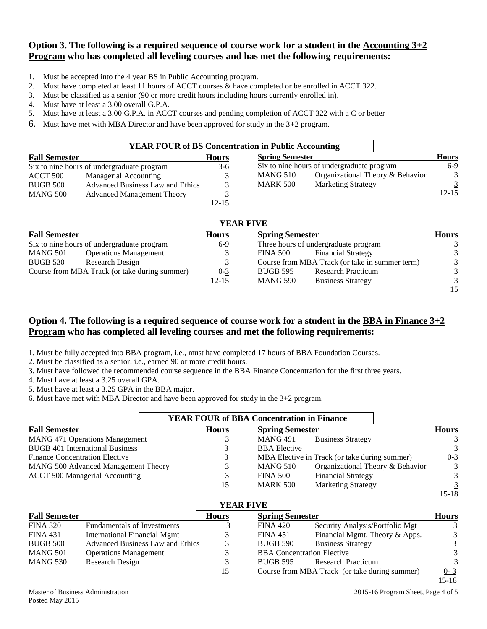# **Option 3. The following is a required sequence of course work for a student in the Accounting 3+2 Program who has completed all leveling courses and has met the following requirements:**

- 1. Must be accepted into the 4 year BS in Public Accounting program.
- 2. Must have completed at least 11 hours of ACCT courses & have completed or be enrolled in ACCT 322.
- 3. Must be classified as a senior (90 or more credit hours including hours currently enrolled in).
- 4. Must have at least a 3.00 overall G.P.A.
- 5. Must have at least a 3.00 G.P.A. in ACCT courses and pending completion of ACCT 322 with a C or better
- 6. Must have met with MBA Director and have been approved for study in the 3+2 program.

|                      | <b>YEAR FOUR of BS Concentration in Public Accounting</b> |              |                        |                                                |                |
|----------------------|-----------------------------------------------------------|--------------|------------------------|------------------------------------------------|----------------|
| <b>Fall Semester</b> |                                                           | <b>Hours</b> | <b>Spring Semester</b> |                                                | <b>Hours</b>   |
|                      | Six to nine hours of undergraduate program                | 3-6          |                        | Six to nine hours of undergraduate program     | $6-9$          |
| ACCT 500             | Managerial Accounting                                     |              | <b>MANG 510</b>        | Organizational Theory & Behavior               | 3              |
| <b>BUGB 500</b>      | Advanced Business Law and Ethics                          |              | <b>MARK 500</b>        | <b>Marketing Strategy</b>                      | $\overline{3}$ |
| <b>MANG 500</b>      | <b>Advanced Management Theory</b>                         |              |                        |                                                | $12 - 15$      |
|                      |                                                           | $12 - 15$    |                        |                                                |                |
|                      |                                                           |              | <b>YEAR FIVE</b>       |                                                |                |
| <b>Fall Semester</b> |                                                           | <b>Hours</b> | <b>Spring Semester</b> |                                                | <b>Hours</b>   |
|                      | Six to nine hours of undergraduate program                | $6-9$        |                        | Three hours of undergraduate program           | 3              |
| <b>MANG 501</b>      | <b>Operations Management</b>                              | 3            | <b>FINA 500</b>        | <b>Financial Strategy</b>                      |                |
| <b>BUGB 530</b>      | Research Design                                           | 3            |                        | Course from MBA Track (or take in summer term) | 3              |
|                      | Course from MBA Track (or take during summer)             | $0 - 3$      | <b>BUGB 595</b>        | <b>Research Practicum</b>                      |                |

BUGB 595 Research Practicum MANG 590 Business Strategy

# **Option 4. The following is a required sequence of course work for a student in the BBA in Finance 3+2 Program who has completed all leveling courses and met the following requirements:**

1. Must be fully accepted into BBA program, i.e., must have completed 17 hours of BBA Foundation Courses.

2. Must be classified as a senior, i.e., earned 90 or more credit hours.

3. Must have followed the recommended course sequence in the BBA Finance Concentration for the first three years.

12-15

4. Must have at least a 3.25 overall GPA.

5. Must have at least a 3.25 GPA in the BBA major.

6. Must have met with MBA Director and have been approved for study in the 3+2 program.

|                                        |              | <b>YEAR FOUR of BBA Concentration in Finance</b> |                                               |              |
|----------------------------------------|--------------|--------------------------------------------------|-----------------------------------------------|--------------|
| <b>Fall Semester</b>                   | <b>Hours</b> | <b>Spring Semester</b>                           |                                               | <b>Hours</b> |
| <b>MANG 471 Operations Management</b>  |              | <b>MANG 491</b>                                  | <b>Business Strategy</b>                      |              |
| <b>BUGB 401 International Business</b> |              | <b>BBA</b> Elective                              |                                               | 3            |
| <b>Finance Concentration Elective</b>  |              |                                                  | MBA Elective in Track (or take during summer) | $0 - 3$      |
| MANG 500 Advanced Management Theory    |              | MANG 510                                         | Organizational Theory & Behavior              | 3            |
| <b>ACCT 500 Managerial Accounting</b>  |              | <b>FINA 500</b>                                  | <b>Financial Strategy</b>                     | 3            |
|                                        | 15           | <b>MARK 500</b>                                  | <b>Marketing Strategy</b>                     |              |

|                      |                                    |              | <b>YEAR FIVE</b>                  |                                               |              |
|----------------------|------------------------------------|--------------|-----------------------------------|-----------------------------------------------|--------------|
| <b>Fall Semester</b> |                                    | <b>Hours</b> | <b>Spring Semester</b>            |                                               | <b>Hours</b> |
| <b>FINA 320</b>      | <b>Fundamentals of Investments</b> |              | <b>FINA 420</b>                   | Security Analysis/Portfolio Mgt               | 3            |
| <b>FINA 431</b>      | International Financial Mgmt       |              | <b>FINA 451</b>                   | Financial Mgmt, Theory & Apps.                | 3            |
| BUGB 500             | Advanced Business Law and Ethics   |              | <b>BUGB 590</b>                   | <b>Business Strategy</b>                      | 3            |
| MANG 501             | <b>Operations Management</b>       |              | <b>BBA</b> Concentration Elective |                                               | 3            |
| <b>MANG 530</b>      | Research Design                    |              | <b>BUGB 595</b>                   | <b>Research Practicum</b>                     | 3            |
|                      |                                    | 15           |                                   | Course from MBA Track (or take during summer) | $0 - 3$      |

Master of Business Administration 2015-16 Program Sheet, Page 4 of 5

 $\frac{3}{15}$ 

15-18

15-18